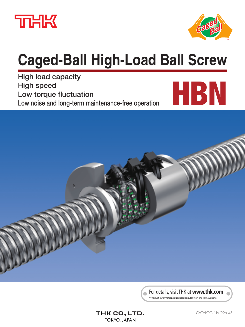



# **Caged-Ball High-Load Ball Screw**

**High load capacity High speed Low torque fluctuation Low noise and long-term maintenance-free operation**





For details, visit THK at **www.thk.com**

\*Product information is updated regularly on the THK website.

### THK CO., LTD. **TOKYO. JAPAN**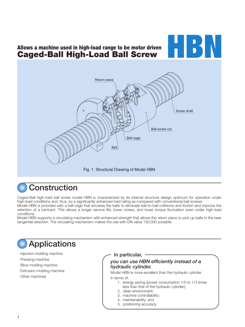# **Allows a machine used in high-load range to be motor driven Caged-Ball High-Load Ball Screw**





# **Construction**

Caged-Ball high-load ball screw model HBN is characterized by its internal structure design optimum for operation under high-load conditions and, thus, by a significantly enhanced load rating as compared with conventional ball screws.

Model HBN is provided with a ball cage that encases the balls to eliminate ball-to-ball collisions and friction and improve the retention of a lubricant. This allows a longer service life, lower noises, and lower torque fluctuation even under high-load conditions.

Model HBN supports a circulating mechanism with enhanced strength that allows the return piece to pick up balls in the near tangential direction. The circulating mechanism makes the use with DN value 130,000 possible.

# **Applications**

- Injection molding machine
- Pressing machine
- Blow molding machine
- Extrusion molding machine
- Other machines

**In particular,**

### *you can use HBN efficiently instead of a hydraulic cylinder.*

Model HBN is more excellent than the hydraulic cylinder in terms of:

- 1. energy saving (power consumption 1/5 to 1/3 times less than that of the hydraulic cylinder);
- 2. clean environment;
- 3. machine controllability;
- 4. maintainability; and
- 5. positioning accuracy.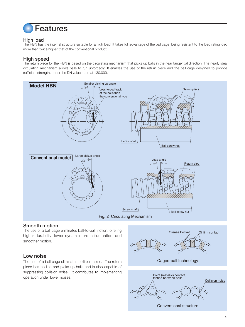

#### **High load**

The HBN has the internal structure suitable for a high load. It takes full advantage of the ball cage, being resistant to the load rating load more than twice higher that of the conventional product.

### **High speed**

The return piece for the HBN is based on the circulating mechanism that picks up balls in the near tangential direction. The nearly ideal circulating mechanism allows balls to run unforcedly. It enables the use of the return piece and the ball cage designed to provide sufficient strength, under the DN value rated at 130,000.



#### **Smooth motion**

The use of a ball cage eliminates ball-to-ball friction, offering higher durability, lower dynamic torque fluctuation, and smoother motion.

#### **Low noise**

The use of a ball cage eliminates collision noise. The return piece has no lips and picks up balls and is also capable of suppressing collision noise. It contributes to implementing operation under lower noises.

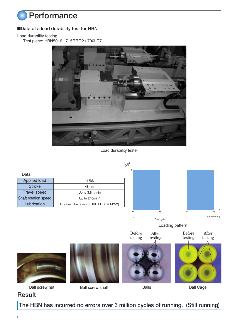

### ■**Data of a load durability test for HBN**

Load durability testing

Test piece: HBN5016-7. 5RRG2+700LC7



Load durability tester



Loading pattern

Before testing After testing Before

testing After testing









Ball screw nut Ball screw shaft Balls Balls Ball Cage

## **Result**

**The HBN has incurred no errors over 3 million cycles of running. (Still running)**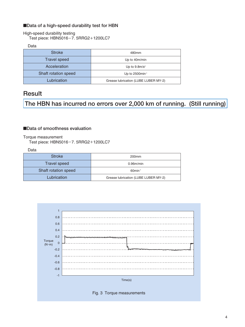### ■**Data of a high-speed durability test for HBN**

High-speed durability testing

Test piece:  $HBN5016-7.$  5RRG2+1200LC7

Data

| <b>Stroke</b>        | 480mm                                |
|----------------------|--------------------------------------|
| <b>Travel speed</b>  | Up to 40m/min                        |
| Acceleration         | Up to $9.8m/s^2$                     |
| Shaft rotation speed | Up to 2500min <sup>-1</sup>          |
| Lubrication          | Grease lubrication (LUBE LUBER MY-2) |

### **Result**

**The HBN has incurred no errors over 2,000 km of running. (Still running)**

#### ■**Data of smoothness evaluation**

#### Torque measurement Test piece: HBN5016-7. 5RRG2+1200LC7

Data

| <b>Stroke</b>        | 200 <sub>mm</sub>                    |
|----------------------|--------------------------------------|
| <b>Travel speed</b>  | 0.96m/min                            |
| Shaft rotation speed | $60$ min <sup>-1</sup>               |
| Lubrication          | Grease lubrication (LUBE LUBER MY-2) |

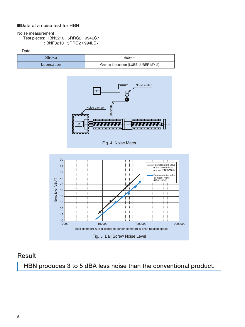### ■**Data of a noise test for HBN**

#### Noise measurement

Test pieces: HBN3210-5RRG2+994LC7 : BNF3210-5RRG2+994LC7





### **Result**

**HBN produces 3 to 5 dBA less noise than the conventional product.**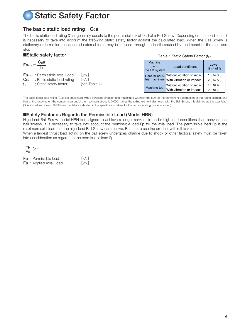# **Static Safety Factor**

### **The basic static load rating C0a**

The basic static load rating (C<sub>oa</sub>) generally equals to the permissible axial load of a Ball Screw. Depending on the conditions, it is necessary to take into account the following static safety factor against the calculated load. When the Ball Screw is stationary or in motion, unexpected external force may be applied through an inertia caused by the impact or the start and stop.

|                                | Static safety factor                                                                                    |                               |  |  |  |  |  |  |  |  |
|--------------------------------|---------------------------------------------------------------------------------------------------------|-------------------------------|--|--|--|--|--|--|--|--|
|                                | $Fa_{max} = \frac{C_0a}{f_s}$                                                                           |                               |  |  |  |  |  |  |  |  |
| Co <sub>a</sub><br>$f_{\rm s}$ | <b>Fa<sub>max</sub>:</b> Permissible Axial Load<br>: Basic static load rating<br>: Static safety factor | [kN]<br>[kN]<br>(see Table 1) |  |  |  |  |  |  |  |  |

#### Table 1 Static Safety Factor (fs)

| Machine<br>using<br>the LM system | Load conditions             | Lower<br>limit of fs |
|-----------------------------------|-----------------------------|----------------------|
| General indus-<br>trial machinery | Without vibration or impact | 1.0 to $3.5$         |
|                                   | With vibration or impact    | 2.0 to 5.0           |
|                                   | Without vibration or impact | 1.0 to 4.0           |
| Machine tool                      | With vibration or impact    | 2.5 to 7.0           |

The basic static load rating (Coa) is a static load with a constant direction and magnitude whereby the sum of the permanent deformation of the rolling element and that of the raceway on the contact area under the maximum stress is 0.0001 times the rolling element diameter. With the Ball Screw, it is defined as the axial load. (Specific values of each Ball Screw model are indicated in the specification tables for the corresponding model number.)

#### ■**Safety Factor as Regards the Permissible Load (Model HBN)**

High-load Ball Screw model HBN is designed to achieve a longer service life under high-load conditions than conventional ball screws. It is necessary to take into account the permissible load Fp for the axial load. The permissible load Fp is the maximum axial load that the high-load Ball Screw can receive. Be sure to use the product within this value.

When a largest thrust load acting on the ball screw undergoes change due to shock or other factors, safety must be taken into consideration as regards to the permissible load Fp.

Fp<br>Fa

| <b>Fp</b> : Permissible load   | [kN] |
|--------------------------------|------|
| <b>Fa</b> : Applied Axial Load | [kN] |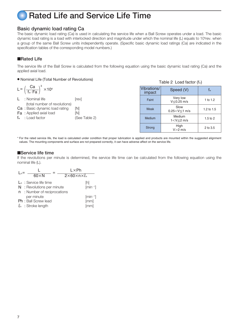# **Rated Life and Service Life Time**

### **Basic dynamic load rating Ca**

The basic dynamic load rating (Ca) is used in calculating the service life when a Ball Screw operates under a load. The basic dynamic load rating is a load with interlocked direction and magnitude under which the nominal life (L) equals to 10<sup>6</sup>rev. when a group of the same Ball Screw units independently operate. (Specific basic dynamic load ratings (Ca) are indicated in the specification tables of the corresponding model numbers.)

#### ■**Rated Life**

The service life of the Ball Screw is calculated from the following equation using the basic dynamic load rating (Ca) and the applied axial load.

#### ● Nominal Life (Total Number of Revolutions)

$$
L = \left(\frac{Ca}{f_w \cdot Fa}\right)^3 \times 10^6
$$

L : Nominal life [rev] (total number of revolutions) Ca : Basic dynamic load rating [N] **Fa** : Applied axial load [N] fw : Load factor (See Table 2)

| Table 2 Load factor $(f_w)$ |                              |              |  |  |  |  |  |  |  |  |
|-----------------------------|------------------------------|--------------|--|--|--|--|--|--|--|--|
| Vibrations/<br>impact       | f.                           |              |  |  |  |  |  |  |  |  |
| Faint                       | Very low<br>V≤0.25 m/s       | 1 to 1.2     |  |  |  |  |  |  |  |  |
| Weak                        | Slow<br>$0.25 < V \le 1$ m/s |              |  |  |  |  |  |  |  |  |
| Medium                      | Medium<br>$1 < V \leq 2$ m/s | $1.5$ to $2$ |  |  |  |  |  |  |  |  |
| Strong                      | High<br>$V>2$ m/s            | 2 to 3.5     |  |  |  |  |  |  |  |  |

\* For the rated service life, the load is calculated under condition that proper lubrication is applied and products are mounted within the suggested alignment values. The mounting components and surface are not prepared correctly, it can have adverse affect on the service life.

#### ■**Service life time**

If the revolutions per minute is determined, the service life time can be calculated from the following equation using the nominal life (L).

| $\mathsf{L}_{\mathsf{h}} =$ | $60\times N$                                                                             | $L \times Ph$<br>$2\times60\times n\times l_s$ |
|-----------------------------|------------------------------------------------------------------------------------------|------------------------------------------------|
|                             | $L_h$ : Service life time<br>$N:$ Revolutions per minute<br>n : Number of reciprocations | [h]<br>$[min^{-1}]$                            |
|                             | per minute<br><b>Ph:</b> Ball Screw lead<br>$\ell_{s}$ : Stroke length                   | $[min^{-1}]$<br>[mm]<br>[mm]                   |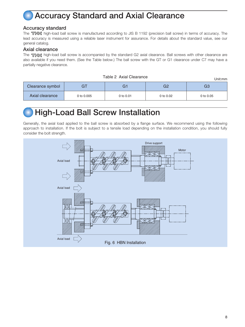# **Accuracy Standard and Axial Clearance**

### **Accuracy standard**

The THK high-load ball screw is manufactured according to JIS B 1192 (precision ball screw) in terms of accuracy. The lead accuracy is measured using a reliable laser instrument for assurance. For details about the standard value, see our general catalog.

#### **Axial clearance**

The  $\overline{h}$  high-load ball screw is accompanied by the standard G2 axial clearance. Ball screws with other clearance are also available if you need them. (See the Table below.) The ball screw with the GT or G1 clearance under C7 may have a partially negative clearance.

| $1$ abio $L$ , with order and $\sigma$ |            |             |           |           |  |  |  |  |
|----------------------------------------|------------|-------------|-----------|-----------|--|--|--|--|
| Clearance symbol                       |            |             | G2        | G3        |  |  |  |  |
| Axial clearance                        | 0 to 0.005 | 0 to $0.01$ | 0 to 0.02 | 0 to 0.05 |  |  |  |  |

Table 2 Axial Clearance

# **High-Load Ball Screw Installation**

Generally, the axial load applied to the ball screw is absorbed by a flange surface. We recommend using the following approach to installation. If the bolt is subject to a tensile load depending on the installation condition, you should fully consider the bolt strength.

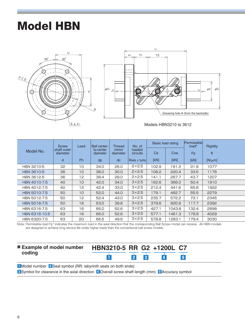# **Model HBN**





Models HBN3210 to 3612

|               | <b>Screw</b>            | Lead | <b>Ball center-</b>   | <b>Thread</b>     | No. of             |       | Basic load rating | <b>Permissible</b><br>load* | <b>Rigidity</b> |
|---------------|-------------------------|------|-----------------------|-------------------|--------------------|-------|-------------------|-----------------------------|-----------------|
| Model No.     | shaft outer<br>diameter |      | to-center<br>diameter | minor<br>diameter | loaded<br>circuits | Ca    | Coa               | Fp                          | K               |
|               | d                       | Ph.  | dp                    | dc                | Rows $\times$ tums | [KN]  | [KN]              | [KN]                        | [N/ $\mu$ m]    |
| HBN 3210-5    | 32                      | 10   | 34.0                  | 26.0              | $2\times2.5$       | 102.9 | 191.3             | 31.9                        | 1077            |
| HBN 3610-5    | 36                      | 10   | 38.0                  | 30.0              | $2\times2.5$       | 108.2 | 220.4             | 33.5                        | 1176            |
| HBN 3612-5    | 36                      | 12   | 38.4                  | 29.0              | $2\times2.5$       | 141.1 | 267.7             | 43.7                        | 1207            |
| HBN 4010-7.5  | 40                      | 10   | 42.0                  | 34.0              | $3\times2.5$       | 162.6 | 366.0             | 50.4                        | 1910            |
| HBN 4012-7.5  | 40                      | 12   | 42.4                  | 33.0              | $3\times2.5$       | 212.4 | 441.6             | 65.8                        | 1922            |
| HBN 5010-7.5  | 50                      | 10   | 52.0                  | 44.0              | $3\times2.5$       | 179.1 | 462.7             | 55.5                        | 2279            |
| HBN 5012-7.5  | 50                      | 12   | 52.4                  | 43.0              | $3\times2.5$       | 235.7 | 572.2             | 73.1                        | 2345            |
| HBN 5016-7.5  | 50                      | 16   | 53.0                  | 39.6              | $3\times2.5$       | 379.6 | 820.9             | 117.7                       | 2392            |
| HBN 6316-7.5  | 63                      | 16   | 66.0                  | 52.6              | $3\times2.5$       | 427.1 | 1043.8            | 132.4                       | 2898            |
| HBN 6316-10.5 | 63                      | 16   | 66.0                  | 52.6              | $3\times3.5$       | 577.1 | 1461.3            | 178.9                       | 4029            |
| HBN 6320-7.5  | 63                      | 20   | 66.5                  | 49.6              | $3\times2.5$       | 578.8 | 1283.1            | 179.4                       | 3030            |

Note: Permissible load Fp\* indicates the maximum load in the axial direction that the corresponding Ball Screw model can receive. All HBN models are designed to achieve long service life under higher loads than the conventional ball screw models.

| ■ Example of model number HBN3210-5 RR G2 +1200L C7 |          |  |
|-----------------------------------------------------|----------|--|
| coding                                              | 2 <br> 3 |  |

**1** Model number **2** Seal symbol (RR: labyrinth seals on both ends)

**3** Symbol for clearance in the axial direction  $\overline{4}$  Overall screw shaft length (mm) **5** Accuracy symbol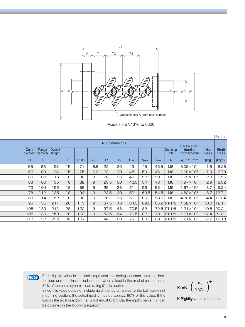

Models HBN4010 to 6320

|                            |        |                   |    |            |                |      |                |           |             |             |                  | Unit:mm                                            |                    |               |
|----------------------------|--------|-------------------|----|------------|----------------|------|----------------|-----------|-------------|-------------|------------------|----------------------------------------------------|--------------------|---------------|
| Nut dimensions             |        |                   |    |            |                |      |                |           |             |             |                  | <b>Screw shaft</b>                                 |                    |               |
| Outer<br>diameter diameter | Flange | Overall<br>length |    |            |                |      |                |           |             |             | Greasing<br>hole | inertial<br>moment/mm                              | <b>Nut</b><br>mass | Shaft<br>mass |
| D                          | $D_1$  | L1                | н  | <b>PCD</b> | d <sub>1</sub> | T1   | T <sub>2</sub> | $U_{MAX}$ | <b>VMAX</b> | <b>RMAX</b> | A                | $\left[\text{kg}\cdot\text{cm}^2/\text{mm}\right]$ | [kg]               | [kg/m]        |
| 58                         | 85     | 98                | 15 | 71         | 6.6            | 22   | 30             | 43        | 46          | 43.5        | M <sub>6</sub>   | $8.08 \times 10^{-3}$                              | 1.8                | 5.26          |
| 62                         | 89     | 98                | 15 | 75         | 6.6            | 22   | 30             | 45        | 50          | 46          | M <sub>6</sub>   | $1.29\times10^{2}$                                 | 1.9                | 6.79          |
| 66                         | 100    | 116               | 18 | 82         | 9              | 26   | 36             | 49        | 52.5        | 50          | M <sub>6</sub>   | $1.29 \times 10^{-2}$                              | 2.8                | 6.55          |
| 66                         | 100    | 135               | 18 | 82         | 9              | 23.5 | 30             | 46.5      | 54          | 48          | M <sub>6</sub>   | $1.97 \times 10^{2}$                               | 2.9                | 8.52          |
| 70                         | 104    | 152               | 18 | 86         | 9              | 26   | 36             | 51        | 56          | 52          | M <sub>6</sub>   | $1.97\times10^{2}$                                 | 3.7                | 5.24          |
| 78                         | 112    | 135               | 18 | 94         | 9              | 23.5 | 30             | 52        | 63.5        | 54.5        | M <sub>6</sub>   | $4.82 \times 10^{-2}$                              | 3.7                | 13.7          |
| 80                         | 114    | 152               | 18 | 96         | 9              | 26   | 36             | 56        | 66          | 58.5        | M <sub>6</sub>   | $4.82 \times 10^{2}$                               | 4.4                | 13.34         |
| 95                         | 135    | 211               | 28 | 113        | 9              | 37.5 | 48             | 64.5      | 69.6        |             | $65.2$  PT-1/8   | $4.82 \times 10^{2}$                               | 10.0               | 12.1          |
| 105                        | 139    | 211               | 28 | 122        | 9              | 37.5 | 48             | 70.5      | 82          |             | 72.5 PT-1/8      | $1.21\times10^{-1}$                                | 10.6               | 20.2          |
| 105                        | 139    | 259               | 28 | 122        | 9              | 53.5 | 64             | 70.5      | 82          | 73          | $PT-1/8$         | $1.21 \times 10^{-1}$                              | 17.4               | 20.2          |
| 117                        | 157    | 252               | 32 | 37         | 11             | 44   | 60             | 79        | 86.5        | 80          | $PT-1/8$         | $1.21\times10^{-1}$                                | 17.2               | 19.13         |

**Note**

Each rigidity value in the table represent the spring constant obtained from the load and the elastic displacement when a load in the axial direction that is 30% of the basic dynamic load rating (Ca) is applied.

Since this value does not include rigidity of parts related to the ball screw nut mounting section, the actual rigidity may be approx. 80% of this value. If the load in the axial direction (Fa) is not equal to 0.3 Ca, the rigidity value (K<sub>N</sub>) can be obtained in the following equation.

$$
K_N=K \left(\frac{Fa}{0.3Ca}\right)^{\frac{1}{3}}
$$

K:Rigidity value in the table

Unit:mm